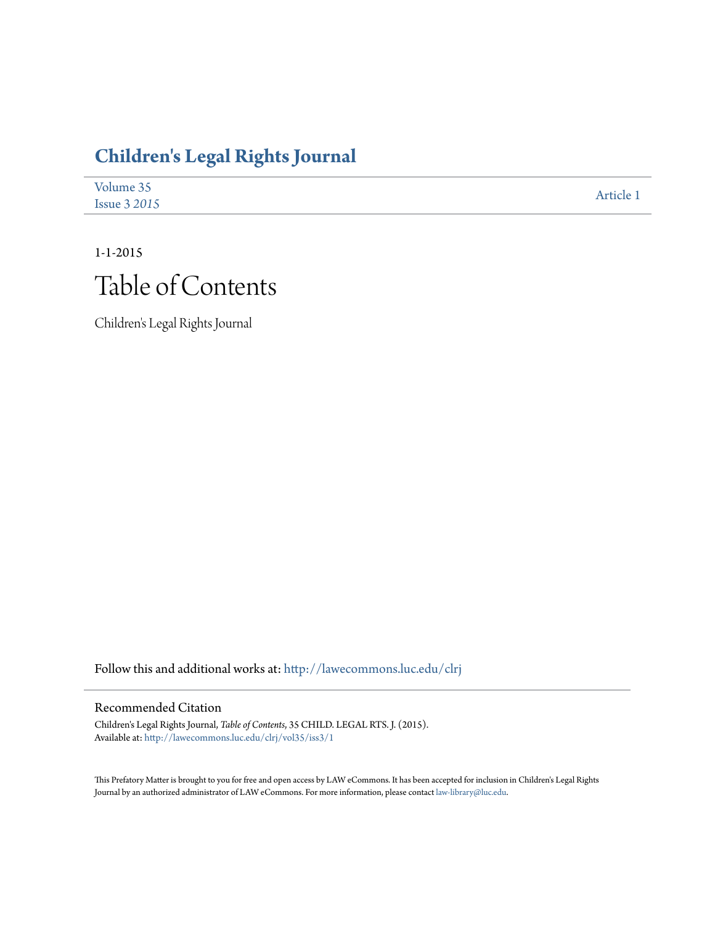## **[Children's Legal Rights Journal](http://lawecommons.luc.edu/clrj?utm_source=lawecommons.luc.edu%2Fclrj%2Fvol35%2Fiss3%2F1&utm_medium=PDF&utm_campaign=PDFCoverPages)**

| Volume 35           | Article 1 |
|---------------------|-----------|
| <b>Issue 3 2015</b> |           |

# 1-1-2015 Table of Contents

Children's Legal Rights Journal

Follow this and additional works at: [http://lawecommons.luc.edu/clrj](http://lawecommons.luc.edu/clrj?utm_source=lawecommons.luc.edu%2Fclrj%2Fvol35%2Fiss3%2F1&utm_medium=PDF&utm_campaign=PDFCoverPages)

#### Recommended Citation

Children's Legal Rights Journal, *Table of Contents*, 35 CHILD. LEGAL RTS. J. (2015). Available at: [http://lawecommons.luc.edu/clrj/vol35/iss3/1](http://lawecommons.luc.edu/clrj/vol35/iss3/1?utm_source=lawecommons.luc.edu%2Fclrj%2Fvol35%2Fiss3%2F1&utm_medium=PDF&utm_campaign=PDFCoverPages)

This Prefatory Matter is brought to you for free and open access by LAW eCommons. It has been accepted for inclusion in Children's Legal Rights Journal by an authorized administrator of LAW eCommons. For more information, please contact [law-library@luc.edu.](mailto:law-library@luc.edu)